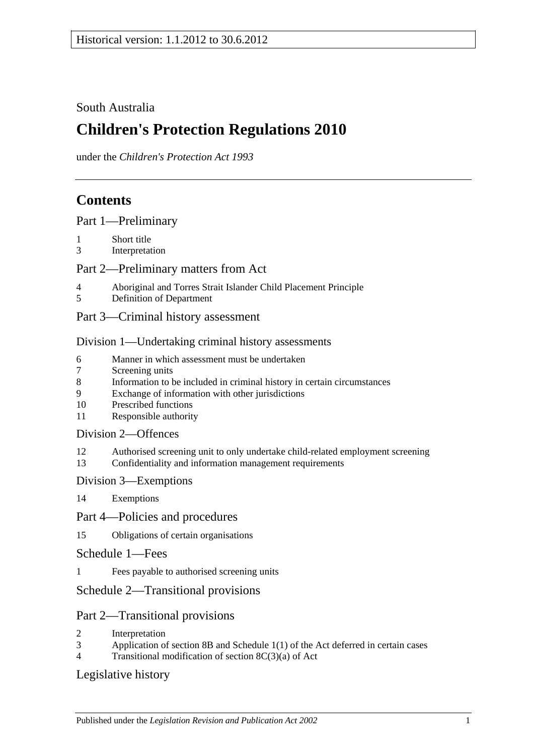### South Australia

# **Children's Protection Regulations 2010**

under the *Children's Protection Act 1993*

# **Contents**

[Part 1—Preliminary](#page-1-0)

- 1 [Short title](#page-1-1)
- 3 [Interpretation](#page-1-2)

#### [Part 2—Preliminary matters from Act](#page-1-3)

- 4 [Aboriginal and Torres Strait Islander Child Placement Principle](#page-1-4)
- 5 [Definition of Department](#page-2-0)
- [Part 3—Criminal history assessment](#page-2-1)

#### [Division 1—Undertaking criminal history assessments](#page-2-2)

- 6 [Manner in which assessment must be undertaken](#page-2-3)<br>7 Screening units
- [Screening units](#page-3-0)
- 8 [Information to be included in criminal history in certain circumstances](#page-3-1)
- 9 [Exchange of information with other jurisdictions](#page-3-2)
- 10 [Prescribed functions](#page-3-3)
- 11 [Responsible authority](#page-4-0)

#### [Division 2—Offences](#page-4-1)

- 12 [Authorised screening unit to only undertake child-related employment screening](#page-4-2)
- 13 [Confidentiality and information management requirements](#page-4-3)

#### [Division 3—Exemptions](#page-5-0)

14 [Exemptions](#page-5-1)

#### [Part 4—Policies and procedures](#page-6-0)

- 15 [Obligations of certain organisations](#page-6-1)
- [Schedule 1—Fees](#page-6-2)
- 1 [Fees payable to authorised screening units](#page-6-3)

### [Schedule 2—Transitional provisions](#page-7-0)

#### Part 2—Transitional provisions

- 2 [Interpretation](#page-7-1)
- 3 Application of section 8B and Schedule [1\(1\) of the Act deferred in certain cases](#page-7-2)
- 4 [Transitional modification of section](#page-9-0) 8C(3)(a) of Act

#### [Legislative history](#page-10-0)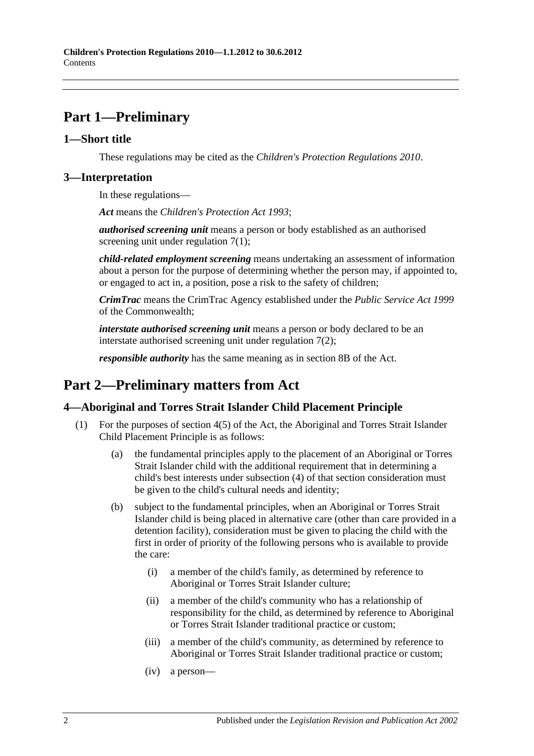# <span id="page-1-0"></span>**Part 1—Preliminary**

#### <span id="page-1-1"></span>**1—Short title**

These regulations may be cited as the *Children's Protection Regulations 2010*.

#### <span id="page-1-2"></span>**3—Interpretation**

In these regulations—

*Act* means the *[Children's Protection Act](http://www.legislation.sa.gov.au/index.aspx?action=legref&type=act&legtitle=Childrens%20Protection%20Act%201993) 1993*;

*authorised screening unit* means a person or body established as an authorised screening unit under [regulation](#page-3-4) 7(1);

*child-related employment screening* means undertaking an assessment of information about a person for the purpose of determining whether the person may, if appointed to, or engaged to act in, a position, pose a risk to the safety of children;

*CrimTrac* means the CrimTrac Agency established under the *Public Service Act 1999* of the Commonwealth;

*interstate authorised screening unit* means a person or body declared to be an interstate authorised screening unit under [regulation](#page-3-5) 7(2);

*responsible authority* has the same meaning as in section 8B of the Act.

# <span id="page-1-3"></span>**Part 2—Preliminary matters from Act**

#### <span id="page-1-4"></span>**4—Aboriginal and Torres Strait Islander Child Placement Principle**

- <span id="page-1-5"></span>(1) For the purposes of section 4(5) of the Act, the Aboriginal and Torres Strait Islander Child Placement Principle is as follows:
	- (a) the fundamental principles apply to the placement of an Aboriginal or Torres Strait Islander child with the additional requirement that in determining a child's best interests under subsection (4) of that section consideration must be given to the child's cultural needs and identity;
	- (b) subject to the fundamental principles, when an Aboriginal or Torres Strait Islander child is being placed in alternative care (other than care provided in a detention facility), consideration must be given to placing the child with the first in order of priority of the following persons who is available to provide the care:
		- (i) a member of the child's family, as determined by reference to Aboriginal or Torres Strait Islander culture;
		- (ii) a member of the child's community who has a relationship of responsibility for the child, as determined by reference to Aboriginal or Torres Strait Islander traditional practice or custom;
		- (iii) a member of the child's community, as determined by reference to Aboriginal or Torres Strait Islander traditional practice or custom;
		- (iv) a person—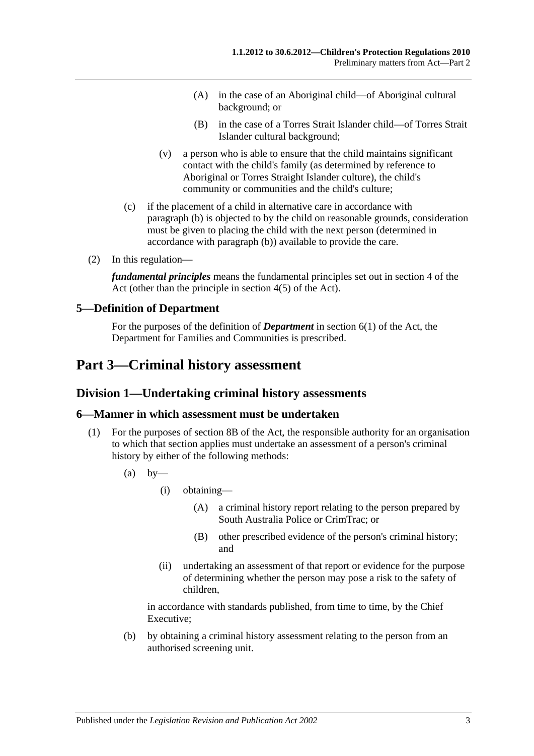- (A) in the case of an Aboriginal child—of Aboriginal cultural background; or
- (B) in the case of a Torres Strait Islander child—of Torres Strait Islander cultural background;
- (v) a person who is able to ensure that the child maintains significant contact with the child's family (as determined by reference to Aboriginal or Torres Straight Islander culture), the child's community or communities and the child's culture;
- (c) if the placement of a child in alternative care in accordance with [paragraph](#page-1-5) (b) is objected to by the child on reasonable grounds, consideration must be given to placing the child with the next person (determined in accordance with [paragraph](#page-1-5) (b)) available to provide the care.
- (2) In this regulation—

*fundamental principles* means the fundamental principles set out in section 4 of the Act (other than the principle in section 4(5) of the Act).

#### <span id="page-2-0"></span>**5—Definition of Department**

For the purposes of the definition of *Department* in section 6(1) of the Act, the Department for Families and Communities is prescribed.

# <span id="page-2-2"></span><span id="page-2-1"></span>**Part 3—Criminal history assessment**

#### **Division 1—Undertaking criminal history assessments**

#### <span id="page-2-3"></span>**6—Manner in which assessment must be undertaken**

- <span id="page-2-4"></span>(1) For the purposes of section 8B of the Act, the responsible authority for an organisation to which that section applies must undertake an assessment of a person's criminal history by either of the following methods:
	- $(a)$  by
		- (i) obtaining—
			- (A) a criminal history report relating to the person prepared by South Australia Police or CrimTrac; or
			- (B) other prescribed evidence of the person's criminal history; and
		- (ii) undertaking an assessment of that report or evidence for the purpose of determining whether the person may pose a risk to the safety of children,

in accordance with standards published, from time to time, by the Chief Executive;

(b) by obtaining a criminal history assessment relating to the person from an authorised screening unit.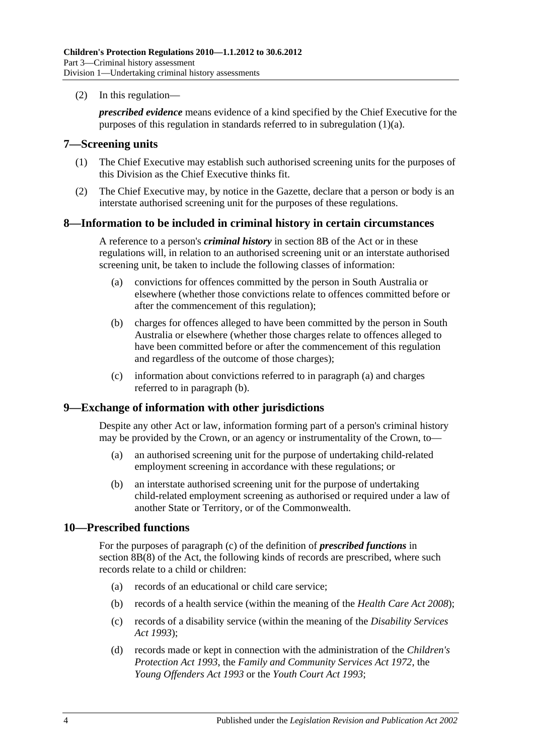(2) In this regulation—

*prescribed evidence* means evidence of a kind specified by the Chief Executive for the purposes of this regulation in standards referred to in [subregulation](#page-2-4) (1)(a).

#### <span id="page-3-4"></span><span id="page-3-0"></span>**7—Screening units**

- (1) The Chief Executive may establish such authorised screening units for the purposes of this Division as the Chief Executive thinks fit.
- <span id="page-3-5"></span>(2) The Chief Executive may, by notice in the Gazette, declare that a person or body is an interstate authorised screening unit for the purposes of these regulations.

#### <span id="page-3-1"></span>**8—Information to be included in criminal history in certain circumstances**

A reference to a person's *criminal history* in section 8B of the Act or in these regulations will, in relation to an authorised screening unit or an interstate authorised screening unit, be taken to include the following classes of information:

- <span id="page-3-6"></span>(a) convictions for offences committed by the person in South Australia or elsewhere (whether those convictions relate to offences committed before or after the commencement of this regulation);
- <span id="page-3-7"></span>(b) charges for offences alleged to have been committed by the person in South Australia or elsewhere (whether those charges relate to offences alleged to have been committed before or after the commencement of this regulation and regardless of the outcome of those charges);
- (c) information about convictions referred to in [paragraph](#page-3-6) (a) and charges referred to in [paragraph](#page-3-7) (b).

#### <span id="page-3-8"></span><span id="page-3-2"></span>**9—Exchange of information with other jurisdictions**

Despite any other Act or law, information forming part of a person's criminal history may be provided by the Crown, or an agency or instrumentality of the Crown, to—

- (a) an authorised screening unit for the purpose of undertaking child-related employment screening in accordance with these regulations; or
- (b) an interstate authorised screening unit for the purpose of undertaking child-related employment screening as authorised or required under a law of another State or Territory, or of the Commonwealth.

#### <span id="page-3-3"></span>**10—Prescribed functions**

For the purposes of paragraph (c) of the definition of *prescribed functions* in section 8B(8) of the Act, the following kinds of records are prescribed, where such records relate to a child or children:

- (a) records of an educational or child care service;
- (b) records of a health service (within the meaning of the *[Health Care Act](http://www.legislation.sa.gov.au/index.aspx?action=legref&type=act&legtitle=Health%20Care%20Act%202008) 2008*);
- (c) records of a disability service (within the meaning of the *[Disability Services](http://www.legislation.sa.gov.au/index.aspx?action=legref&type=act&legtitle=Disability%20Services%20Act%201993)  Act [1993](http://www.legislation.sa.gov.au/index.aspx?action=legref&type=act&legtitle=Disability%20Services%20Act%201993)*);
- (d) records made or kept in connection with the administration of the *[Children's](http://www.legislation.sa.gov.au/index.aspx?action=legref&type=act&legtitle=Childrens%20Protection%20Act%201993)  [Protection Act](http://www.legislation.sa.gov.au/index.aspx?action=legref&type=act&legtitle=Childrens%20Protection%20Act%201993) 1993*, the *[Family and Community Services Act](http://www.legislation.sa.gov.au/index.aspx?action=legref&type=act&legtitle=Family%20and%20Community%20Services%20Act%201972) 1972*, the *[Young Offenders Act](http://www.legislation.sa.gov.au/index.aspx?action=legref&type=act&legtitle=Young%20Offenders%20Act%201993) 1993* or the *[Youth Court Act](http://www.legislation.sa.gov.au/index.aspx?action=legref&type=act&legtitle=Youth%20Court%20Act%201993) 1993*;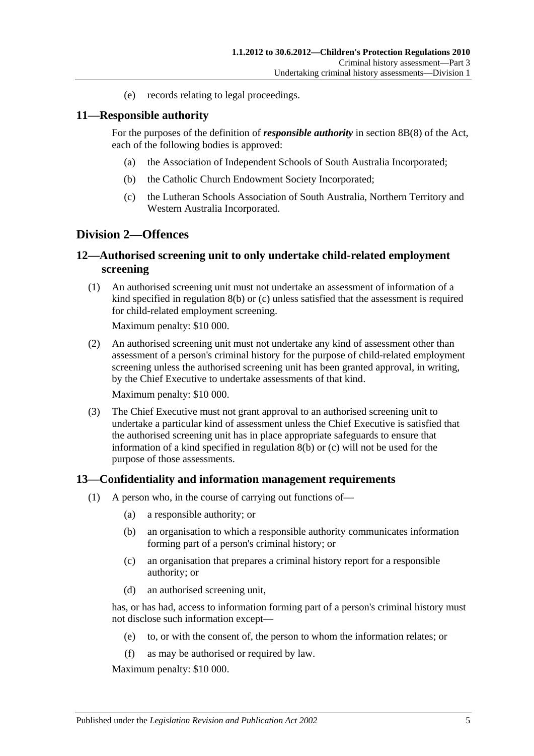(e) records relating to legal proceedings.

#### <span id="page-4-0"></span>**11—Responsible authority**

For the purposes of the definition of *responsible authority* in section 8B(8) of the Act, each of the following bodies is approved:

- (a) the Association of Independent Schools of South Australia Incorporated;
- (b) the Catholic Church Endowment Society Incorporated;
- (c) the Lutheran Schools Association of South Australia, Northern Territory and Western Australia Incorporated.

#### <span id="page-4-1"></span>**Division 2—Offences**

#### <span id="page-4-2"></span>**12—Authorised screening unit to only undertake child-related employment screening**

(1) An authorised screening unit must not undertake an assessment of information of a kind specified in [regulation](#page-3-7) 8(b) or [\(c\)](#page-3-8) unless satisfied that the assessment is required for child-related employment screening.

Maximum penalty: \$10 000.

(2) An authorised screening unit must not undertake any kind of assessment other than assessment of a person's criminal history for the purpose of child-related employment screening unless the authorised screening unit has been granted approval, in writing, by the Chief Executive to undertake assessments of that kind.

Maximum penalty: \$10 000.

(3) The Chief Executive must not grant approval to an authorised screening unit to undertake a particular kind of assessment unless the Chief Executive is satisfied that the authorised screening unit has in place appropriate safeguards to ensure that information of a kind specified in [regulation](#page-3-7) 8(b) or [\(c\)](#page-3-8) will not be used for the purpose of those assessments.

#### <span id="page-4-3"></span>**13—Confidentiality and information management requirements**

- (1) A person who, in the course of carrying out functions of—
	- (a) a responsible authority; or
	- (b) an organisation to which a responsible authority communicates information forming part of a person's criminal history; or
	- (c) an organisation that prepares a criminal history report for a responsible authority; or
	- (d) an authorised screening unit,

has, or has had, access to information forming part of a person's criminal history must not disclose such information except—

- (e) to, or with the consent of, the person to whom the information relates; or
- (f) as may be authorised or required by law.

Maximum penalty: \$10 000.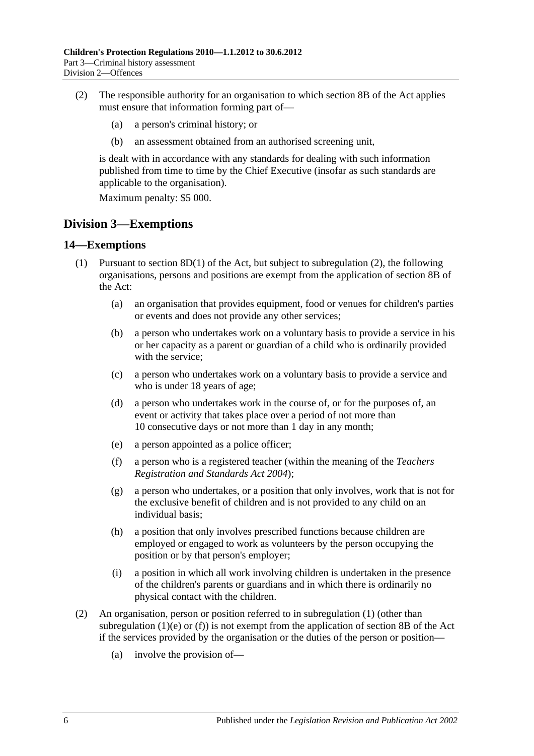- (2) The responsible authority for an organisation to which section 8B of the Act applies must ensure that information forming part of—
	- (a) a person's criminal history; or
	- (b) an assessment obtained from an authorised screening unit,

is dealt with in accordance with any standards for dealing with such information published from time to time by the Chief Executive (insofar as such standards are applicable to the organisation).

Maximum penalty: \$5 000.

### <span id="page-5-0"></span>**Division 3—Exemptions**

#### <span id="page-5-3"></span><span id="page-5-1"></span>**14—Exemptions**

- <span id="page-5-4"></span>(1) Pursuant to section  $8D(1)$  of the Act, but subject to [subregulation](#page-5-2) (2), the following organisations, persons and positions are exempt from the application of section 8B of the Act:
	- (a) an organisation that provides equipment, food or venues for children's parties or events and does not provide any other services;
	- (b) a person who undertakes work on a voluntary basis to provide a service in his or her capacity as a parent or guardian of a child who is ordinarily provided with the service;
	- (c) a person who undertakes work on a voluntary basis to provide a service and who is under 18 years of age;
	- (d) a person who undertakes work in the course of, or for the purposes of, an event or activity that takes place over a period of not more than 10 consecutive days or not more than 1 day in any month;
	- (e) a person appointed as a police officer;
	- (f) a person who is a registered teacher (within the meaning of the *[Teachers](http://www.legislation.sa.gov.au/index.aspx?action=legref&type=act&legtitle=Teachers%20Registration%20and%20Standards%20Act%202004)  [Registration and Standards Act](http://www.legislation.sa.gov.au/index.aspx?action=legref&type=act&legtitle=Teachers%20Registration%20and%20Standards%20Act%202004) 2004*);
	- (g) a person who undertakes, or a position that only involves, work that is not for the exclusive benefit of children and is not provided to any child on an individual basis;
	- (h) a position that only involves prescribed functions because children are employed or engaged to work as volunteers by the person occupying the position or by that person's employer;
	- (i) a position in which all work involving children is undertaken in the presence of the children's parents or guardians and in which there is ordinarily no physical contact with the children.
- <span id="page-5-5"></span><span id="page-5-2"></span>(2) An organisation, person or position referred to in [subregulation](#page-5-3) (1) (other than [subregulation](#page-5-4) (1)(e) or [\(f\)\)](#page-5-5) is not exempt from the application of section 8B of the Act if the services provided by the organisation or the duties of the person or position—
	- (a) involve the provision of—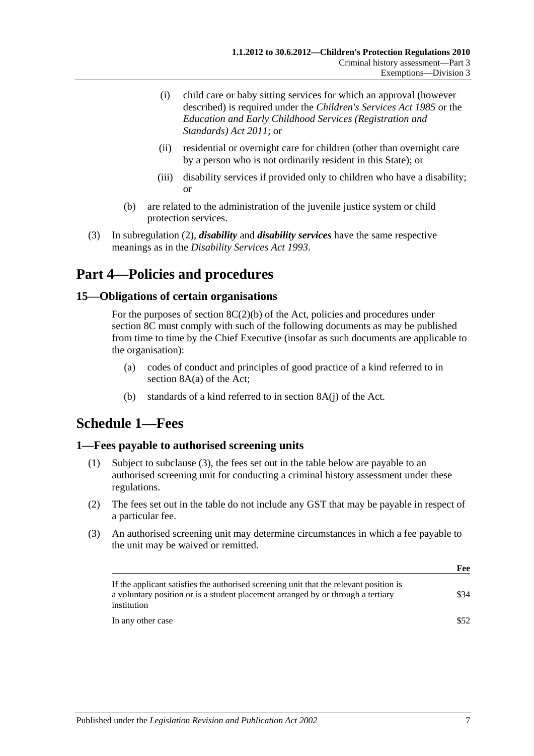- (i) child care or baby sitting services for which an approval (however described) is required under the *[Children's Services Act](http://www.legislation.sa.gov.au/index.aspx?action=legref&type=act&legtitle=Childrens%20Services%20Act%201985) 1985* or the *[Education and Early Childhood Services](http://www.legislation.sa.gov.au/index.aspx?action=legref&type=act&legtitle=Education%20and%20Early%20Childhood%20Services%20(Registration%20and%20Standards)%20Act%202011) (Registration and [Standards\) Act](http://www.legislation.sa.gov.au/index.aspx?action=legref&type=act&legtitle=Education%20and%20Early%20Childhood%20Services%20(Registration%20and%20Standards)%20Act%202011) 2011*; or
- (ii) residential or overnight care for children (other than overnight care by a person who is not ordinarily resident in this State); or
- (iii) disability services if provided only to children who have a disability; or
- (b) are related to the administration of the juvenile justice system or child protection services.
- (3) In [subregulation](#page-5-2) (2), *disability* and *disability services* have the same respective meanings as in the *[Disability Services Act](http://www.legislation.sa.gov.au/index.aspx?action=legref&type=act&legtitle=Disability%20Services%20Act%201993) 1993*.

# <span id="page-6-0"></span>**Part 4—Policies and procedures**

#### <span id="page-6-1"></span>**15—Obligations of certain organisations**

For the purposes of section  $8C(2)(b)$  of the Act, policies and procedures under section 8C must comply with such of the following documents as may be published from time to time by the Chief Executive (insofar as such documents are applicable to the organisation):

- (a) codes of conduct and principles of good practice of a kind referred to in section 8A(a) of the Act;
- (b) standards of a kind referred to in section 8A(j) of the Act.

# <span id="page-6-2"></span>**Schedule 1—Fees**

#### <span id="page-6-3"></span>**1—Fees payable to authorised screening units**

- (1) Subject to [subclause](#page-6-4) (3), the fees set out in the table below are payable to an authorised screening unit for conducting a criminal history assessment under these regulations.
- (2) The fees set out in the table do not include any GST that may be payable in respect of a particular fee.
- <span id="page-6-4"></span>(3) An authorised screening unit may determine circumstances in which a fee payable to the unit may be waived or remitted.

| r ee |
|------|
| \$34 |
| \$52 |
|      |

**Feb.** 2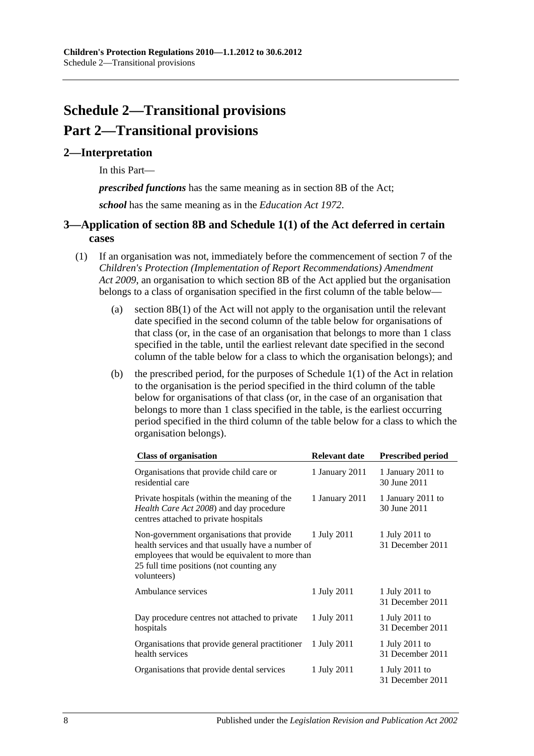# <span id="page-7-0"></span>**Schedule 2—Transitional provisions Part 2—Transitional provisions**

#### <span id="page-7-1"></span>**2—Interpretation**

In this Part—

*prescribed functions* has the same meaning as in section 8B of the Act;

*school* has the same meaning as in the *[Education Act](http://www.legislation.sa.gov.au/index.aspx?action=legref&type=act&legtitle=Education%20Act%201972) 1972*.

#### <span id="page-7-2"></span>**3—Application of section 8B and Schedule 1(1) of the Act deferred in certain cases**

- <span id="page-7-3"></span>(1) If an organisation was not, immediately before the commencement of section 7 of the *[Children's Protection \(Implementation of Report Recommendations\) Amendment](http://www.legislation.sa.gov.au/index.aspx?action=legref&type=act&legtitle=Childrens%20Protection%20(Implementation%20of%20Report%20Recommendations)%20Amendment%20Act%202009)  Act [2009](http://www.legislation.sa.gov.au/index.aspx?action=legref&type=act&legtitle=Childrens%20Protection%20(Implementation%20of%20Report%20Recommendations)%20Amendment%20Act%202009)*, an organisation to which section 8B of the Act applied but the organisation belongs to a class of organisation specified in the first column of the table below—
	- (a) section 8B(1) of the Act will not apply to the organisation until the relevant date specified in the second column of the table below for organisations of that class (or, in the case of an organisation that belongs to more than 1 class specified in the table, until the earliest relevant date specified in the second column of the table below for a class to which the organisation belongs); and
	- (b) the prescribed period, for the purposes of Schedule  $1(1)$  of the Act in relation to the organisation is the period specified in the third column of the table below for organisations of that class (or, in the case of an organisation that belongs to more than 1 class specified in the table, is the earliest occurring period specified in the third column of the table below for a class to which the organisation belongs).

| <b>Class of organisation</b>                                                                                                                                                                                 | Relevant date  | <b>Prescribed period</b>           |
|--------------------------------------------------------------------------------------------------------------------------------------------------------------------------------------------------------------|----------------|------------------------------------|
| Organisations that provide child care or<br>residential care                                                                                                                                                 | 1 January 2011 | 1 January 2011 to<br>30 June 2011  |
| Private hospitals (within the meaning of the<br>Health Care Act 2008) and day procedure<br>centres attached to private hospitals                                                                             | 1 January 2011 | 1 January 2011 to<br>30 June 2011  |
| Non-government organisations that provide<br>health services and that usually have a number of<br>employees that would be equivalent to more than<br>25 full time positions (not counting any<br>volunteers) | 1 July 2011    | 1 July 2011 to<br>31 December 2011 |
| Ambulance services                                                                                                                                                                                           | 1 July 2011    | 1 July 2011 to<br>31 December 2011 |
| Day procedure centres not attached to private<br>hospitals                                                                                                                                                   | 1 July 2011    | 1 July 2011 to<br>31 December 2011 |
| Organisations that provide general practitioner<br>health services                                                                                                                                           | 1 July 2011    | 1 July 2011 to<br>31 December 2011 |
| Organisations that provide dental services                                                                                                                                                                   | 1 July 2011    | 1 July 2011 to<br>31 December 2011 |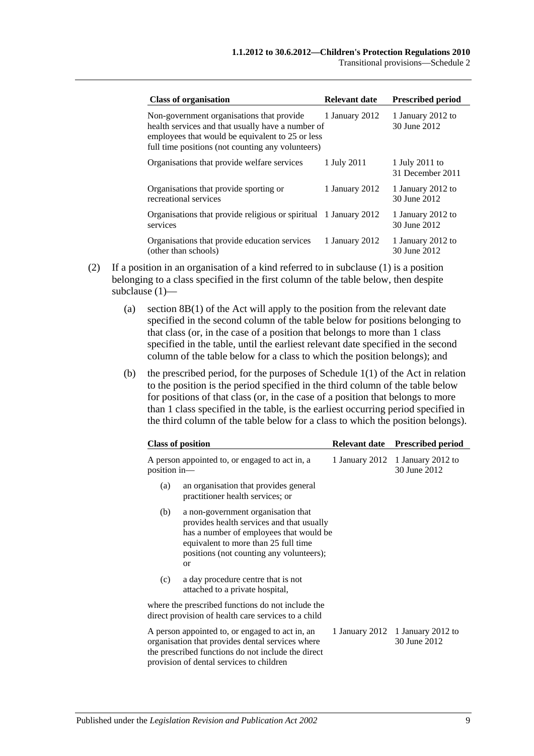Transitional provisions—Schedule 2

| <b>Class of organisation</b>                                                                                                                                                                            | Relevant date  | <b>Prescribed period</b>           |
|---------------------------------------------------------------------------------------------------------------------------------------------------------------------------------------------------------|----------------|------------------------------------|
| Non-government organisations that provide<br>health services and that usually have a number of<br>employees that would be equivalent to 25 or less<br>full time positions (not counting any volunteers) | 1 January 2012 | 1 January 2012 to<br>30 June 2012  |
| Organisations that provide welfare services                                                                                                                                                             | 1 July 2011    | 1 July 2011 to<br>31 December 2011 |
| Organisations that provide sporting or<br>recreational services                                                                                                                                         | 1 January 2012 | 1 January 2012 to<br>30 June 2012  |
| Organisations that provide religious or spiritual 1 January 2012<br>services                                                                                                                            |                | 1 January 2012 to<br>30 June 2012  |
| Organisations that provide education services<br>(other than schools)                                                                                                                                   | 1 January 2012 | 1 January 2012 to<br>30 June 2012  |

- (2) If a position in an organisation of a kind referred to in [subclause](#page-7-3) (1) is a position belonging to a class specified in the first column of the table below, then despite [subclause](#page-7-3) (1)—
	- (a) section 8B(1) of the Act will apply to the position from the relevant date specified in the second column of the table below for positions belonging to that class (or, in the case of a position that belongs to more than 1 class specified in the table, until the earliest relevant date specified in the second column of the table below for a class to which the position belongs); and
	- (b) the prescribed period, for the purposes of Schedule 1(1) of the Act in relation to the position is the period specified in the third column of the table below for positions of that class (or, in the case of a position that belongs to more than 1 class specified in the table, is the earliest occurring period specified in the third column of the table below for a class to which the position belongs).

| <b>Class of position</b> |                                                                                                                                                                                                                                 | <b>Relevant date</b> | <b>Prescribed period</b>                         |  |
|--------------------------|---------------------------------------------------------------------------------------------------------------------------------------------------------------------------------------------------------------------------------|----------------------|--------------------------------------------------|--|
|                          | A person appointed to, or engaged to act in, a<br>position in-                                                                                                                                                                  |                      | 1 January 2012 1 January 2012 to<br>30 June 2012 |  |
| (a)                      | an organisation that provides general<br>practitioner health services; or                                                                                                                                                       |                      |                                                  |  |
| (b)                      | a non-government organisation that<br>provides health services and that usually<br>has a number of employees that would be<br>equivalent to more than 25 full time<br>positions (not counting any volunteers);<br><sub>or</sub> |                      |                                                  |  |
| (c)                      | a day procedure centre that is not<br>attached to a private hospital,                                                                                                                                                           |                      |                                                  |  |
|                          | where the prescribed functions do not include the<br>direct provision of health care services to a child                                                                                                                        |                      |                                                  |  |
|                          | A person appointed to, or engaged to act in, an<br>organisation that provides dental services where<br>the prescribed functions do not include the direct<br>provision of dental services to children                           | 1 January 2012       | 1 January 2012 to<br>30 June 2012                |  |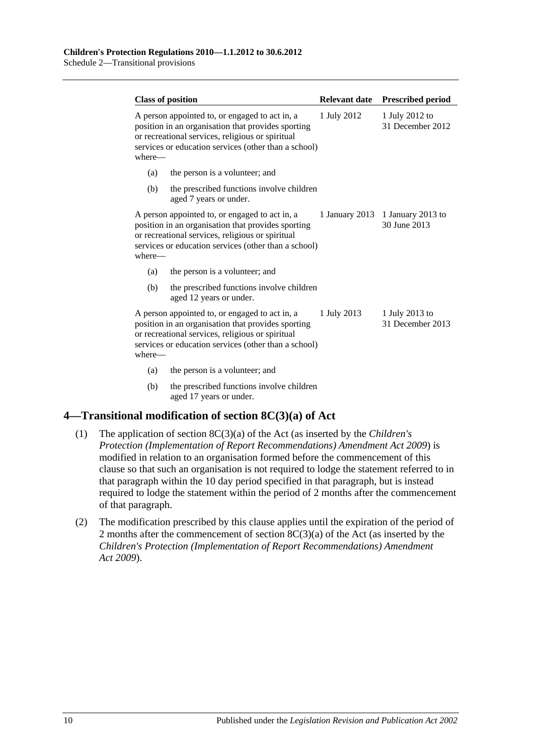| <b>Class of position</b> |                                                                                                                                                                                                                  | <b>Relevant date</b> | <b>Prescribed period</b>                         |
|--------------------------|------------------------------------------------------------------------------------------------------------------------------------------------------------------------------------------------------------------|----------------------|--------------------------------------------------|
| where—                   | A person appointed to, or engaged to act in, a<br>position in an organisation that provides sporting<br>or recreational services, religious or spiritual<br>services or education services (other than a school) | 1 July 2012          | 1 July 2012 to<br>31 December 2012               |
| (a)                      | the person is a volunteer; and                                                                                                                                                                                   |                      |                                                  |
| (b)                      | the prescribed functions involve children<br>aged 7 years or under.                                                                                                                                              |                      |                                                  |
| where-                   | A person appointed to, or engaged to act in, a<br>position in an organisation that provides sporting<br>or recreational services, religious or spiritual<br>services or education services (other than a school) |                      | 1 January 2013 1 January 2013 to<br>30 June 2013 |
| (a)                      | the person is a volunteer; and                                                                                                                                                                                   |                      |                                                  |
| (b)                      | the prescribed functions involve children<br>aged 12 years or under.                                                                                                                                             |                      |                                                  |
| where-                   | A person appointed to, or engaged to act in, a<br>position in an organisation that provides sporting<br>or recreational services, religious or spiritual<br>services or education services (other than a school) | 1 July 2013          | 1 July 2013 to<br>31 December 2013               |
| (a)                      | the person is a volunteer; and                                                                                                                                                                                   |                      |                                                  |
| (b)                      | the prescribed functions involve children<br>aged 17 years or under.                                                                                                                                             |                      |                                                  |

### <span id="page-9-0"></span>**4—Transitional modification of section 8C(3)(a) of Act**

- (1) The application of section 8C(3)(a) of the Act (as inserted by the *[Children's](http://www.legislation.sa.gov.au/index.aspx?action=legref&type=act&legtitle=Childrens%20Protection%20(Implementation%20of%20Report%20Recommendations)%20Amendment%20Act%202009)  [Protection \(Implementation of Report Recommendations\) Amendment Act](http://www.legislation.sa.gov.au/index.aspx?action=legref&type=act&legtitle=Childrens%20Protection%20(Implementation%20of%20Report%20Recommendations)%20Amendment%20Act%202009) 2009*) is modified in relation to an organisation formed before the commencement of this clause so that such an organisation is not required to lodge the statement referred to in that paragraph within the 10 day period specified in that paragraph, but is instead required to lodge the statement within the period of 2 months after the commencement of that paragraph.
- (2) The modification prescribed by this clause applies until the expiration of the period of 2 months after the commencement of section 8C(3)(a) of the Act (as inserted by the *[Children's Protection \(Implementation of Report Recommendations\) Amendment](http://www.legislation.sa.gov.au/index.aspx?action=legref&type=act&legtitle=Childrens%20Protection%20(Implementation%20of%20Report%20Recommendations)%20Amendment%20Act%202009)  Act [2009](http://www.legislation.sa.gov.au/index.aspx?action=legref&type=act&legtitle=Childrens%20Protection%20(Implementation%20of%20Report%20Recommendations)%20Amendment%20Act%202009)*).